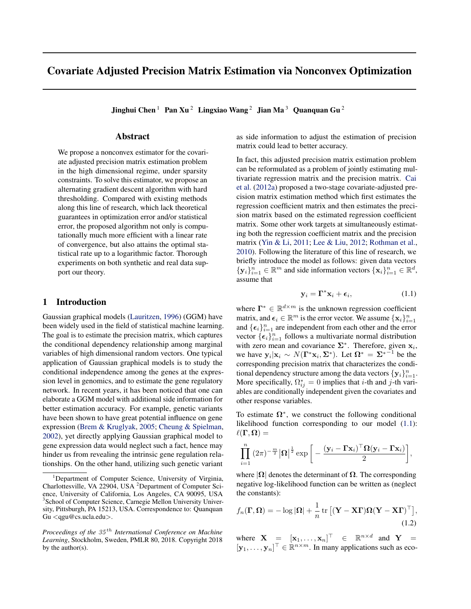# Covariate Adjusted Precision Matrix Estimation via Nonconvex Optimization

Jinghui Chen<sup>1</sup> Pan Xu<sup>2</sup> Lingxiao Wang<sup>2</sup> Jian Ma<sup>3</sup> Quanquan Gu<sup>2</sup>

# Abstract

We propose a nonconvex estimator for the covariate adjusted precision matrix estimation problem in the high dimensional regime, under sparsity constraints. To solve this estimator, we propose an alternating gradient descent algorithm with hard thresholding. Compared with existing methods along this line of research, which lack theoretical guarantees in optimization error and/or statistical error, the proposed algorithm not only is computationally much more efficient with a linear rate of convergence, but also attains the optimal statistical rate up to a logarithmic factor. Thorough experiments on both synthetic and real data support our theory.

## 1 Introduction

Gaussian graphical models (Lauritzen, 1996) (GGM) have been widely used in the field of statistical machine learning. The goal is to estimate the precision matrix, which captures the conditional dependency relationship among marginal variables of high dimensional random vectors. One typical application of Gaussian graphical models is to study the conditional independence among the genes at the expression level in genomics, and to estimate the gene regulatory network. In recent years, it has been noticed that one can elaborate a GGM model with additional side information for better estimation accuracy. For example, genetic variants have been shown to have great potential influence on gene expression (Brem & Kruglyak, 2005; Cheung & Spielman, 2002), yet directly applying Gaussian graphical model to gene expression data would neglect such a fact, hence may hinder us from revealing the intrinsic gene regulation relationships. On the other hand, utilizing such genetic variant

as side information to adjust the estimation of precision matrix could lead to better accuracy.

In fact, this adjusted precision matrix estimation problem can be reformulated as a problem of jointly estimating multivariate regression matrix and the precision matrix. Cai et al. (2012a) proposed a two-stage covariate-adjusted precision matrix estimation method which first estimates the regression coefficient matrix and then estimates the precision matrix based on the estimated regression coefficient matrix. Some other work targets at simultaneously estimating both the regression coefficient matrix and the precision matrix (Yin & Li, 2011; Lee & Liu, 2012; Rothman et al., 2010). Following the literature of this line of research, we briefly introduce the model as follows: given data vectors  $\{y_i\}_{i=1}^n \in \mathbb{R}^m$  and side information vectors  $\{x_i\}_{i=1}^n \in \mathbb{R}^d$ , assume that

$$
\mathbf{y}_i = \mathbf{\Gamma}^* \mathbf{x}_i + \boldsymbol{\epsilon}_i, \tag{1.1}
$$

where  $\mathbf{\Gamma}^* \in \mathbb{R}^{d \times m}$  is the unknown regression coefficient matrix, and  $\epsilon_i \in \mathbb{R}^m$  is the error vector. We assume  $\{\mathbf x_i\}_{i=1}^n$ and  ${\{\epsilon_i\}}_{i=1}^n$  are independent from each other and the error vector  $\{\epsilon_i\}_{i=1}^n$  follows a multivariate normal distribution with zero mean and covariance  $\Sigma^*$ . Therefore, given  $x_i$ , we have  $y_i | x_i \sim N(\Gamma^* x_i, \Sigma^*)$ . Let  $\Omega^* = \Sigma^{*-1}$  be the corresponding precision matrix that characterizes the conditional dependency structure among the data vectors  $\{y_i\}_{i=1}^n$ . More specifically,  $\Omega_{ij}^* = 0$  implies that *i*-th and *j*-th variables are conditionally independent given the covariates and other response variables.

To estimate  $\Omega^*$ , we construct the following conditional likelihood function corresponding to our model (1.1):  $\ell(\Gamma, \Omega) =$ 

$$
\prod_{i=1}^{n} (2\pi)^{-\frac{m}{2}} |\mathbf{\Omega}|^{\frac{1}{2}} \exp \bigg[ -\frac{(\mathbf{y}_{i} - \mathbf{\Gamma} \mathbf{x}_{i})^{\top} \mathbf{\Omega} (\mathbf{y}_{i} - \mathbf{\Gamma} \mathbf{x}_{i})}{2} \bigg],
$$

where  $|\Omega|$  denotes the determinant of  $\Omega$ . The corresponding negative log-likelihood function can be written as (neglect the constants):

$$
f_n(\mathbf{\Gamma}, \mathbf{\Omega}) = -\log |\mathbf{\Omega}| + \frac{1}{n} \operatorname{tr} \left[ (\mathbf{Y} - \mathbf{X}\mathbf{\Gamma})\mathbf{\Omega} (\mathbf{Y} - \mathbf{X}\mathbf{\Gamma})^{\top} \right],
$$
\n(1.2)

where  $\mathbf{X} = [\mathbf{x}_1, \dots, \mathbf{x}_n]^\top \in \mathbb{R}^{n \times d}$  and  $\mathbf{Y} =$  $[\mathbf{y}_1, \dots, \mathbf{y}_n]^\top \in \mathbb{R}^{n \times m}$ . In many applications such as eco-

<sup>&</sup>lt;sup>1</sup>Department of Computer Science, University of Virginia, Charlottesville, VA 22904, USA <sup>2</sup>Department of Computer Science, University of California, Los Angeles, CA 90095, USA 3 School of Computer Science, Carnegie Mellon University University, Pittsburgh, PA 15213, USA. Correspondence to: Quanquan Gu *<*qgu@cs.ucla.edu*>*.

*Proceedings of the 35 th International Conference on Machine Learning*, Stockholm, Sweden, PMLR 80, 2018. Copyright 2018 by the author(s).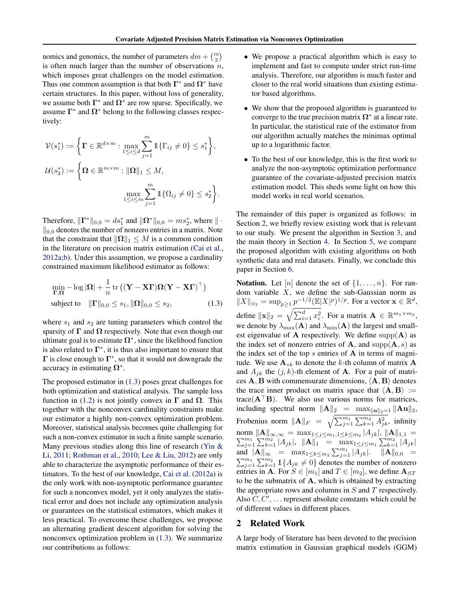nomics and genomics, the number of parameters  $dm + {m \choose 2}$ is often much larger than the number of observations *n*, which imposes great challenges on the model estimation. Thus one common assumption is that both  $\Gamma^*$  and  $\Omega^*$  have certain structures. In this paper, without loss of generality, we assume both  $\Gamma^*$  and  $\Omega^*$  are row sparse. Specifically, we assume  $\Gamma^*$  and  $\Omega^*$  belong to the following classes respectively:

$$
\mathcal{V}(s_1^*) := \left\{ \mathbf{\Gamma} \in \mathbb{R}^{d \times m} : \max_{1 \le i \le d} \sum_{j=1}^m \mathbb{1} \{ \Gamma_{ij} \neq 0 \} \le s_1^* \right\},
$$
  

$$
\mathcal{U}(s_2^*) := \left\{ \mathbf{\Omega} \in \mathbb{R}^{m \times m} : \|\mathbf{\Omega}\|_1 \le M,
$$
  

$$
\max_{1 \le i \le m} \sum_{j=1}^m \mathbb{1} \{ \Omega_{ij} \neq 0 \} \le s_2^* \right\}.
$$

Therefore,  $\|\mathbf{\Gamma}^*\|_{0,0} = ds_1^*$  and  $\|\mathbf{\Omega}^*\|_{0,0} = ms_2^*$ , where  $\|\cdot\|$  $\mathcal{L}_{0,0}$  denotes the number of nonzero entries in a matrix. Note that the constraint that  $\|\Omega\|_1 \leq M$  is a common condition in the literature on precision matrix estimation (Cai et al., 2012a;b). Under this assumption, we propose a cardinality constrained maximum likelihood estimator as follows:

$$
\min_{\mathbf{\Gamma},\mathbf{\Omega}} - \log |\mathbf{\Omega}| + \frac{1}{n} \operatorname{tr} \left( (\mathbf{Y} - \mathbf{X}\mathbf{\Gamma})\mathbf{\Omega} (\mathbf{Y} - \mathbf{X}\mathbf{\Gamma})^{\top} \right)
$$
\n
$$
\text{subject to} \quad \|\mathbf{\Gamma}\|_{0,0} \le s_1, \|\mathbf{\Omega}\|_{0,0} \le s_2, \tag{1.3}
$$

where  $s_1$  and  $s_2$  are tuning parameters which control the sparsity of  $\Gamma$  and  $\Omega$  respectively. Note that even though our ultimate goal is to estimate  $\Omega^*$ , since the likelihood function is also related to  $\Gamma^*$ , it is thus also important to ensure that  $\Gamma$  is close enough to  $\Gamma^*$ , so that it would not downgrade the accuracy in estimating  $\Omega^*$ .

The proposed estimator in (1.3) poses great challenges for both optimization and statistical analysis. The sample loss function in (1.2) is not jointly convex in  $\Gamma$  and  $\Omega$ . This together with the nonconvex cardinality constraints make our estimator a highly non-convex optimization problem. Moreover, statistical analysis becomes quite challenging for such a non-convex estimator in such a finite sample scenario. Many previous studies along this line of research (Yin & Li, 2011; Rothman et al., 2010; Lee & Liu, 2012) are only able to characterize the asymptotic performance of their estimators. To the best of our knowledge, Cai et al. (2012a) is the only work with non-asymptotic performance guarantee for such a nonconvex model, yet it only analyzes the statistical error and does not include any optimization analysis or guarantees on the statistical estimators, which makes it less practical. To overcome these challenges, we propose an alternating gradient descent algorithm for solving the nonconvex optimization problem in (1.3). We summarize our contributions as follows:

- We propose a practical algorithm which is easy to implement and fast to compute under strict run-time analysis. Therefore, our algorithm is much faster and closer to the real world situations than existing estimator based algorithms.
- *•* We show that the proposed algorithm is guaranteed to converge to the true precision matrix  $\Omega^*$  at a linear rate. In particular, the statistical rate of the estimator from our algorithm actually matches the minimax optimal up to a logarithmic factor.
- *•* To the best of our knowledge, this is the first work to analyze the non-asymptotic optimization performance guarantee of the covariate-adjusted precision matrix estimation model. This sheds some light on how this model works in real world scenarios.

The remainder of this paper is organized as follows: in Section 2, we briefly review existing work that is relevant to our study. We present the algorithm in Section 3, and the main theory in Section 4. In Section 5, we compare the proposed algorithm with existing algorithms on both synthetic data and real datasets. Finally, we conclude this paper in Section 6.

**Notation.** Let  $[n]$  denote the set of  $\{1, \ldots, n\}$ . For random variable *X*, we define the sub-Gaussian norm as  $||X||_{\psi_2} = \sup_{p \ge 1} \underline{p}^{-1/2} (\mathbb{E}|X|^p)^{1/p}$ . For a vector  $\mathbf{x} \in \mathbb{R}^d$ , define  $\|\mathbf{x}\|_2 = \sqrt{\sum_{i=1}^d x_i^2}$ . For a matrix  $\mathbf{A} \in \mathbb{R}^{m_1 \times m_2}$ , we denote by  $\lambda_{\max}(\mathbf{A})$  and  $\lambda_{\min}(\mathbf{A})$  the largest and smallest eigenvalue of **A** respectively. We define  $supp(A)$  as the index set of nonzero entries of A, and  $supp(A, s)$  as the index set of the top  $s$  entries of  $A$  in terms of magnitude. We use  $\mathbf{A}_{*k}$  to denote the *k*-th column of matrix  $\mathbf{A}$ and  $A_{jk}$  the  $(j, k)$ -th element of **A**. For a pair of matrices  $A$ ,  $B$  with commensurate dimensions,  $\langle A, B \rangle$  denotes the trace inner product on matrix space that  $\langle A, B \rangle :=$ trace( $A$ <sup>+</sup> $B$ ). We also use various norms for matrices, including spectral norm  $\|\mathbf{A}\|_2 = \max_{\|\mathbf{u}\|_2=1} \|\mathbf{A}\mathbf{u}\|_2$ , Frobenius norm  $||A||_F = \sqrt{\sum_{j=1}^{m_1} \sum_{k=1}^{m_2} A_{jk}^2}$ , infinity norm  $\|\mathbf{A}\|_{\infty,\infty} = \max_{1 \leq j \leq m_1, 1 \leq k \leq m_2} |A_{jk}|, \|\mathbf{A}\|_{1,1} = \sum_{j=1}^{m_1} \sum_{k=1}^{m_2} |A_{jk}|, \|\mathbf{A}\|_{1} = \max_{1 \leq j \leq m_1} \sum_{k=1}^{m_2} |A_{jk}|$ and  $||A||_{\infty} = \max_{1 \le k \le m_2} \sum_{j=1}^{m_1} |A_{jk}|$ .  $||A||_{0,0} = \sum_{i=1}^{m_1} \sum_{k=1}^{m_2} 1\{A_{ik} \neq 0\}$  denotes the number of nonzero  $\sum_{j=1}^{m_1} \sum_{k=1}^{m_2} 1\! \{A_{jk} \neq 0\}$  denotes the number of nonzero entries in **A**. For  $S \in [m_1]$  and  $T \in [m_2]$ , we define  $A_{ST}$ to be the submatrix of A, which is obtained by extracting the appropriate rows and columns in *S* and *T* respectively. Also  $C, C', \ldots$  represent absolute constants which could be of different values in different places.

# 2 Related Work

A large body of literature has been devoted to the precision matrix estimation in Gaussian graphical models (GGM)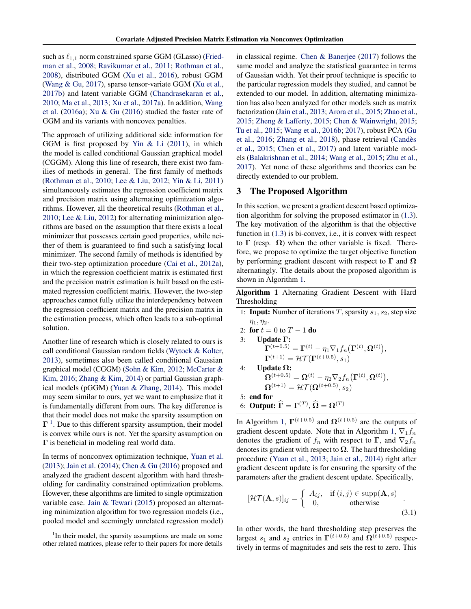such as  $\ell_{1,1}$  norm constrained sparse GGM (GLasso) (Friedman et al., 2008; Ravikumar et al., 2011; Rothman et al., 2008), distributed GGM (Xu et al., 2016), robust GGM (Wang & Gu, 2017), sparse tensor-variate GGM (Xu et al., 2017b) and latent variable GGM (Chandrasekaran et al., 2010; Ma et al., 2013; Xu et al., 2017a). In addition, Wang et al. (2016a); Xu & Gu (2016) studied the faster rate of GGM and its variants with noncovex penalties.

The approach of utilizing additional side information for GGM is first proposed by Yin & Li (2011), in which the model is called conditional Gaussian graphical model (CGGM). Along this line of research, there exist two families of methods in general. The first family of methods (Rothman et al., 2010; Lee & Liu, 2012; Yin & Li, 2011) simultaneously estimates the regression coefficient matrix and precision matrix using alternating optimization algorithms. However, all the theoretical results (Rothman et al., 2010; Lee & Liu, 2012) for alternating minimization algorithms are based on the assumption that there exists a local minimizer that possesses certain good properties, while neither of them is guaranteed to find such a satisfying local minimizer. The second family of methods is identified by their two-step optimization procedure (Cai et al., 2012a), in which the regression coefficient matrix is estimated first and the precision matrix estimation is built based on the estimated regression coefficient matrix. However, the two-step approaches cannot fully utilize the interdependency between the regression coefficient matrix and the precision matrix in the estimation process, which often leads to a sub-optimal solution.

Another line of research which is closely related to ours is call conditional Gaussian random fields (Wytock & Kolter, 2013), sometimes also been called conditional Gaussian graphical model (CGGM) (Sohn & Kim, 2012; McCarter & Kim, 2016; Zhang & Kim, 2014) or partial Gaussian graphical models (pGGM) (Yuan & Zhang, 2014). This model may seem similar to ours, yet we want to emphasize that it is fundamentally different from ours. The key difference is that their model does not make the sparsity assumption on  $\Gamma$ <sup>1</sup>. Due to this different sparsity assumption, their model is convex while ours is not. Yet the sparsity assumption on  $\Gamma$  is beneficial in modeling real world data.

In terms of nonconvex optimization technique, Yuan et al. (2013); Jain et al. (2014); Chen & Gu (2016) proposed and analyzed the gradient descent algorithm with hard thresholding for cardinality constrained optimization problems. However, these algorithms are limited to single optimization variable case. Jain & Tewari (2015) proposed an alternating minimization algorithm for two regression models (i.e., pooled model and seemingly unrelated regression model) in classical regime. Chen & Banerjee (2017) follows the same model and analyze the statistical guarantee in terms of Gaussian width. Yet their proof technique is specific to the particular regression models they studied, and cannot be extended to our model. In addition, alternating minimization has also been analyzed for other models such as matrix factorization (Jain et al., 2013; Arora et al., 2015; Zhao et al., 2015; Zheng & Lafferty, 2015; Chen & Wainwright, 2015; Tu et al., 2015; Wang et al., 2016b; 2017), robust PCA (Gu et al., 2016; Zhang et al., 2018), phase retrieval (Candes` et al., 2015; Chen et al., 2017) and latent variable models (Balakrishnan et al., 2014; Wang et al., 2015; Zhu et al., 2017). Yet none of these algorithms and theories can be directly extended to our problem.

# 3 The Proposed Algorithm

In this section, we present a gradient descent based optimization algorithm for solving the proposed estimator in (1.3). The key motivation of the algorithm is that the objective function in (1.3) is bi-convex, i.e., it is convex with respect to  $\Gamma$  (resp.  $\Omega$ ) when the other variable is fixed. Therefore, we propose to optimize the target objective function by performing gradient descent with respect to  $\Gamma$  and  $\Omega$ alternatingly. The details about the proposed algorithm is shown in Algorithm 1.

Algorithm 1 Alternating Gradient Descent with Hard Thresholding

| 1: <b>Input:</b> Number of iterations T, sparsity $s_1$ , $s_2$ , step size                                              |
|--------------------------------------------------------------------------------------------------------------------------|
| $\eta_1, \eta_2.$                                                                                                        |
| 2: for $t = 0$ to $T - 1$ do                                                                                             |
| 3: Update $\Gamma$ :                                                                                                     |
| $\mathbf{\Gamma}^{(t+0.5)} = \mathbf{\Gamma}^{(t)} - \eta_1 \nabla_1 f_n(\mathbf{\Gamma}^{(t)}, \mathbf{\Omega}^{(t)}),$ |
| $\mathbf{\Gamma}^{(t+1)} = \mathcal{HT}(\mathbf{\Gamma}^{(t+0.5)}, s_1)$                                                 |
| 4: Update $\Omega$ :                                                                                                     |
| $\mathbf{\Omega}^{(t+0.5)} = \mathbf{\Omega}^{(t)} - \eta_2 \nabla_2 f_n(\mathbf{\Gamma}^{(t)},\mathbf{\Omega}^{(t)}),$  |
| $\mathbf{\Omega}^{(t+1)} = \mathcal{HT}(\mathbf{\Omega}^{(t+0.5)}, s_2)$                                                 |
| $5:$ end for                                                                                                             |
| 6: Output: $\widehat{\Gamma} = \Gamma^{(T)}$ , $\widehat{\Omega} = \Omega^{(T)}$                                         |

In Algorithm 1,  $\Gamma^{(t+0.5)}$  and  $\Omega^{(t+0.5)}$  are the outputs of gradient descent update. Note that in Algorithm 1,  $\nabla_1 f_n$ denotes the gradient of  $f_n$  with respect to  $\Gamma$ , and  $\nabla_2 f_n$ denotes its gradient with respect to  $\Omega$ . The hard thresholding procedure (Yuan et al., 2013; Jain et al., 2014) right after gradient descent update is for ensuring the sparsity of the parameters after the gradient descent update. Specifically,

$$
[\mathcal{HT}(\mathbf{A}, s)]_{ij} = \begin{cases} A_{ij}, & \text{if } (i, j) \in \text{supp}(\mathbf{A}, s) \\ 0, & \text{otherwise} \end{cases}
$$
 (3.1)

In other words, the hard thresholding step preserves the largest  $s_1$  and  $s_2$  entries in  $\Gamma^{(t+0.5)}$  and  $\Omega^{(t+0.5)}$  respectively in terms of magnitudes and sets the rest to zero. This

<sup>&</sup>lt;sup>1</sup>In their model, the sparsity assumptions are made on some other related matrices, please refer to their papers for more details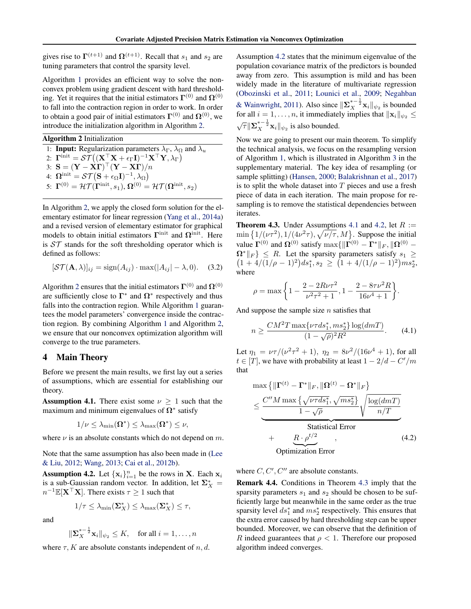gives rise to  $\Gamma^{(t+1)}$  and  $\Omega^{(t+1)}$ . Recall that  $s_1$  and  $s_2$  are tuning parameters that control the sparsity level.

Algorithm 1 provides an efficient way to solve the nonconvex problem using gradient descent with hard thresholding. Yet it requires that the initial estimators  $\Gamma^{(0)}$  and  $\Omega^{(0)}$ to fall into the contraction region in order to work. In order to obtain a good pair of initial estimators  $\mathbf{\Gamma}^{(0)}$  and  $\mathbf{\Omega}^{(0)}$ , we introduce the initialization algorithm in Algorithm 2.

Algorithm 2 Initialization

1: **Input:** Regularization parameters  $\lambda_{\Gamma}$ ,  $\lambda_{\Omega}$  and  $\lambda_{u}$ 2:  $\mathbf{\Gamma}^{\text{init}} = \mathcal{ST}\big((\mathbf{X}^\top \mathbf{X} + \epsilon_\Gamma \mathbf{I})^{-1} \mathbf{X}^\top \mathbf{Y}, \lambda_\Gamma\big)$ 3:  $\mathbf{S} = (\mathbf{Y} - \mathbf{X}\mathbf{\Gamma})^{\top}(\mathbf{Y} - \mathbf{X}\mathbf{\Gamma})/n$ 4:  $\Omega^{\text{init}} = \mathcal{ST}(\mathbf{S} + \epsilon_{\Omega} \mathbf{I})^{-1}, \lambda_{\Omega})$ 5:  $\Gamma^{(0)} = \mathcal{HT}(\Gamma^{\text{init}}, s_1), \Omega^{(0)} = \mathcal{HT}(\Omega^{\text{init}}, s_2)$ 

In Algorithm 2, we apply the closed form solution for the elementary estimator for linear regression (Yang et al., 2014a) and a revised version of elementary estimator for graphical models to obtain initial estimators  $\Gamma$ <sup>init</sup> and  $\Omega$ <sup>init</sup>. Here is *ST* stands for the soft thresholding operator which is defined as follows:

$$
[\mathcal{ST}(\mathbf{A}, \lambda)]_{ij} = \text{sign}(A_{ij}) \cdot \text{max}(|A_{ij}| - \lambda, 0). \quad (3.2)
$$

Algorithm 2 ensures that the initial estimators  $\mathbf{\Gamma}^{(0)}$  and  $\mathbf{\Omega}^{(0)}$ are sufficiently close to  $\Gamma^*$  and  $\Omega^*$  respectively and thus falls into the contraction region. While Algorithm 1 guarantees the model parameters' convergence inside the contraction region. By combining Algorithm 1 and Algorithm 2, we ensure that our nonconvex optimization algorithm will converge to the true parameters.

#### 4 Main Theory

Before we present the main results, we first lay out a series of assumptions, which are essential for establishing our theory.

**Assumption 4.1.** There exist some  $\nu \geq 1$  such that the maximum and minimum eigenvalues of  $\Omega^*$  satisfy

$$
1/\nu \leq \lambda_{\min}(\boldsymbol{\Omega}^*) \leq \lambda_{\max}(\boldsymbol{\Omega}^*) \leq \nu,
$$

where  $\nu$  is an absolute constants which do not depend on  $m$ .

Note that the same assumption has also been made in (Lee & Liu, 2012; Wang, 2013; Cai et al., 2012b).

Assumption 4.2. Let  $\{x_i\}_{i=1}^n$  be the rows in X. Each  $x_i$ is a sub-Gaussian random vector. In addition, let  $\Sigma_X^* =$  $n^{-1}$ E[**X**<sup>T</sup>**X**]. There exists  $\tau \geq 1$  such that

$$
1/\tau \leq \lambda_{\min}(\Sigma_X^*) \leq \lambda_{\max}(\Sigma_X^*) \leq \tau,
$$

and

$$
\|\boldsymbol{\Sigma}_{X}^{*-\frac{1}{2}}\mathbf{x}_{i}\|_{\psi_{2}} \leq K, \quad \text{for all } i = 1,\ldots,n
$$

where  $\tau$ , K are absolute constants independent of *n, d.* 

Assumption 4.2 states that the minimum eigenvalue of the population covariance matrix of the predictors is bounded away from zero. This assumption is mild and has been widely made in the literature of multivariate regression (Obozinski et al., 2011; Lounici et al., 2009; Negahban & Wainwright, 2011). Also since  $\|\sum_{X}^{*-\frac{1}{2}} x_i\|_{\psi_2}$  is bounded for all  $i = 1, \ldots, n$ , it immediately implies that  $\|\mathbf{x}_i\|_{\psi_2} \leq$  $\sqrt{\tau} \|\mathbf{\Sigma}_{X}^{*- \frac{1}{2}} \mathbf{x}_i\|_{\psi_2}$  is also bounded.

Now we are going to present our main theorem. To simplify the technical analysis, we focus on the resampling version of Algorithm 1, which is illustrated in Algorithm 3 in the supplementary material. The key idea of resampling (or sample splitting) (Hansen, 2000; Balakrishnan et al., 2017) is to split the whole dataset into *T* pieces and use a fresh piece of data in each iteration. The main propose for resampling is to remove the statistical dependencies between iterates.

**Theorem 4.3.** Under Assumptions 4.1 and 4.2, let  $R :=$  $\min\{1/(\nu\tau^2), 1/(4\nu^2\tau), \sqrt{\nu/\tau}, M\}$ . Suppose the initial value  $\mathbf{\Gamma}^{(0)}$  and  $\mathbf{\Omega}^{(0)}$  satisfy max{ $\|\mathbf{\Gamma}^{(0)} - \mathbf{\Gamma}^*\|_F$ ,  $\|\mathbf{\Omega}^{(0)} - \mathbf{\Gamma}^*\|_F$  $\Omega^* \|_F$   $\leq R$ . Let the sparsity parameters satisfy  $s_1 \geq$  $(1+4/(1/\rho-1)^2)ds_1^*, s_2 \ge (1+4/(1/\rho-1)^2)ms_2^*,$ where

$$
\rho = \max\bigg\{1 - \frac{2 - 2R\nu\tau^2}{\nu^2\tau^2 + 1}, 1 - \frac{2 - 8\tau\nu^2R}{16\nu^4 + 1}\bigg\}.
$$

And suppose the sample size *n* satisfies that

$$
n \ge \frac{CM^2 T \max\{\nu \tau ds_1^*, ms_2^*\} \log(dmT)}{(1 - \sqrt{\rho})^2 R^2}.
$$
 (4.1)

Let  $\eta_1 = \nu \tau / (\nu^2 \tau^2 + 1)$ ,  $\eta_2 = \frac{8\nu^2}{(16\nu^4 + 1)}$ , for all  $t \in [T]$ , we have with probability at least  $1 - 2/d - C'/m$ that

$$
\max \left\{ \|\mathbf{\Gamma}^{(t)} - \mathbf{\Gamma}^* \|_F, \|\mathbf{\Omega}^{(t)} - \mathbf{\Omega}^* \|_F \right\}
$$
\n
$$
\leq \frac{C'' M \max \left\{ \sqrt{\nu \tau ds_1^*}, \sqrt{m s_2^*} \right\}}{1 - \sqrt{\rho}} \sqrt{\frac{\log(d m T)}{n/T}}
$$
\nStatistical Error\n
$$
+ \underbrace{R \cdot \rho^{t/2}}_{\text{Optimization Error}} , \tag{4.2}
$$

Optimization Error

where  $C, C', C''$  are absolute constants.

Remark 4.4. Conditions in Theorem 4.3 imply that the sparsity parameters *s*<sup>1</sup> and *s*<sup>2</sup> should be chosen to be sufficiently large but meanwhile in the same order as the true sparsity level  $ds_1^*$  and  $ms_2^*$  respectively. This ensures that the extra error caused by hard thresholding step can be upper bounded. Moreover, we can observe that the definition of *R* indeed guarantees that  $\rho < 1$ . Therefore our proposed algorithm indeed converges.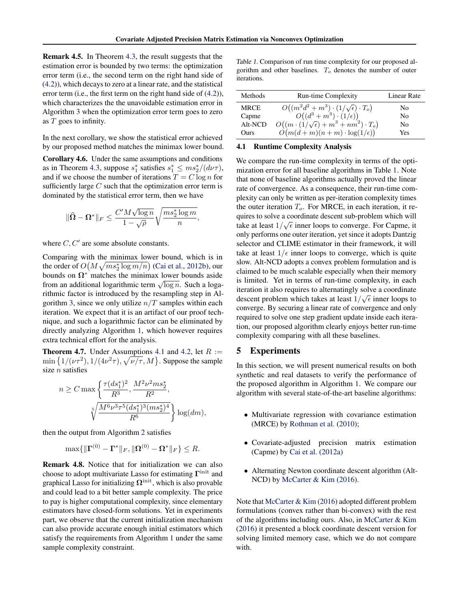Remark 4.5. In Theorem 4.3, the result suggests that the estimation error is bounded by two terms: the optimization error term (i.e., the second term on the right hand side of (4.2)), which decays to zero at a linear rate, and the statistical error term (i.e., the first term on the right hand side of (4.2)), which characterizes the the unavoidable estimation error in Algorithm 3 when the optimization error term goes to zero as *T* goes to infinity.

In the next corollary, we show the statistical error achieved by our proposed method matches the minimax lower bound.

Corollary 4.6. Under the same assumptions and conditions as in Theorem 4.3, suppose  $s_1^*$  satisfies  $s_1^* \leq ms_2^* / (d\nu\tau)$ , and if we choose the number of iterations  $T = C \log n$  for sufficiently large *C* such that the optimization error term is dominated by the statistical error term, then we have

$$
\|\widehat{{\boldsymbol{\Omega}}} - {\boldsymbol{\Omega}}^*\|_F \leq \frac{C'M\sqrt{\log n}}{1-\sqrt{\rho}}\sqrt{\frac{ms_2^* \log m}{n}},
$$

where  $C, C'$  are some absolute constants.

Comparing with the minimax lower bound, which is in the order of  $O(M\sqrt{ms_2^* \log m/n})$  (Cai et al., 2012b), our bounds on  $\Omega^*$  matches the minimax lower bounds aside from an additional logarithmic term  $\sqrt{\log n}$ . Such a logarithmic factor is introduced by the resampling step in Algorithm 3, since we only utilize *n/T* samples within each iteration. We expect that it is an artifact of our proof technique, and such a logarithmic factor can be eliminated by directly analyzing Algorithm 1, which however requires extra technical effort for the analysis.

**Theorem 4.7.** Under Assumptions 4.1 and 4.2, let  $R :=$  $\min\{1/(\nu\tau^2), 1/(4\nu^2\tau), \sqrt{\nu/\tau}, M\}$ . Suppose the sample size *n* satisfies

$$
n \geq C \max \left\{ \frac{\tau(ds_1^*)^2}{R^3}, \frac{M^2 \nu^2 m s_2^*}{R^2}, \frac{M^2 \nu^2 m s_2^*}{R^2}, \frac{M^6 \nu^3 \tau^5(ds_1^*)^3(ms_2^*)^4}{R^6} \right\} \log(dm),
$$

then the output from Algorithm 2 satisfies

$$
\max\{\|\mathbf{\Gamma}^{(0)} - \mathbf{\Gamma}^*\|_F, \|\mathbf{\Omega}^{(0)} - \mathbf{\Omega}^*\|_F\} \le R.
$$

Remark 4.8. Notice that for initialization we can also choose to adopt multivariate Lasso for estimating  $\Gamma$ <sup>init</sup> and graphical Lasso for initializing  $\Omega^{\text{init}}$ , which is also provable and could lead to a bit better sample complexity. The price to pay is higher computational complexity, since elementary estimators have closed-form solutions. Yet in experiments part, we observe that the current initialization mechanism can also provide accurate enough initial estimators which satisfy the requirements from Algorithm 1 under the same sample complexity constraint.

*Table 1.* Comparison of run time complexity for our proposed algorithm and other baselines. *T<sup>o</sup>* denotes the number of outer iterations.

| Methods     | <b>Run-time Complexity</b>                                                                                                                                                                                                                   | Linear Rate |
|-------------|----------------------------------------------------------------------------------------------------------------------------------------------------------------------------------------------------------------------------------------------|-------------|
| <b>MRCE</b> | $\begin{array}{c} O\big((m^2d^2+m^3)\cdot (1/\sqrt{\epsilon})\cdot T_o\big)\\ O\big((d^3+m^3)\cdot (1/\epsilon)\big)\\ O\big((m\cdot (1/\sqrt{\epsilon})+m^3+nm^2)\cdot T_o\big)\\ O\big(m(d+m)(n+m)\cdot \log(1/\epsilon)\big) \end{array}$ | No          |
| Capme       |                                                                                                                                                                                                                                              | No          |
| Alt-NCD     |                                                                                                                                                                                                                                              | No          |
| Ours        |                                                                                                                                                                                                                                              | Yes         |

#### 4.1 Runtime Complexity Analysis

We compare the run-time complexity in terms of the optimization error for all baseline algorithms in Table 1. Note that none of baseline algorithms actually proved the linear rate of convergence. As a consequence, their run-time complexity can only be written as per-iteration complexity times the outer iteration  $T<sub>o</sub>$ . For MRCE, in each iteration, it requires to solve a coordinate descent sub-problem which will take at least  $1/\sqrt{\epsilon}$  inner loops to converge. For Capme, it only performs one outer iteration, yet since it adopts Dantzig selector and CLIME estimator in their framework, it will take at least  $1/\epsilon$  inner loops to converge, which is quite slow. Alt-NCD adopts a convex problem formulation and is claimed to be much scalable especially when their memory is limited. Yet in terms of run-time complexity, in each iteration it also requires to alternatingly solve a coordinate descent problem which takes at least  $1/\sqrt{\epsilon}$  inner loops to converge. By securing a linear rate of convergence and only required to solve one step gradient update inside each iteration, our proposed algorithm clearly enjoys better run-time complexity comparing with all these baselines.

#### 5 Experiments

In this section, we will present numerical results on both synthetic and real datasets to verify the performance of the proposed algorithm in Algorithm 1. We compare our algorithm with several state-of-the-art baseline algorithms:

- *•* Multivariate regression with covariance estimation (MRCE) by Rothman et al. (2010);
- *•* Covariate-adjusted precision matrix estimation (Capme) by Cai et al. (2012a)
- Alternating Newton coordinate descent algorithm (Alt-NCD) by McCarter & Kim (2016).

Note that McCarter & Kim (2016) adopted different problem formulations (convex rather than bi-convex) with the rest of the algorithms including ours. Also, in McCarter & Kim (2016) it presented a block coordinate descent version for solving limited memory case, which we do not compare with.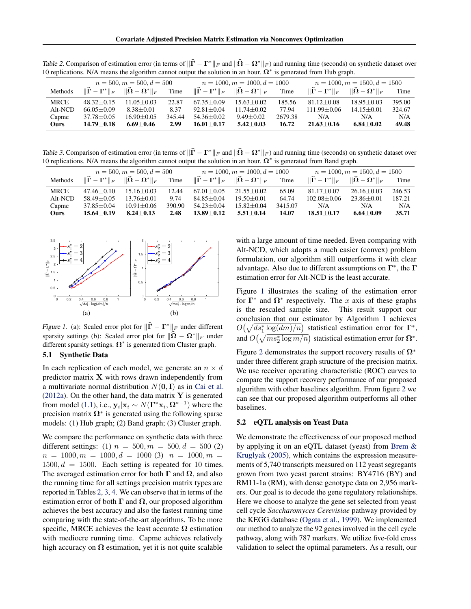*Table 2.* Comparison of estimation error (in terms of  $\|\hat{\mathbf{\Gamma}} - \mathbf{\Gamma}^*\|_F$  and  $\|\hat{\mathbf{\Omega}} - \mathbf{\Omega}^*\|_F$ ) and running time (seconds) on synthetic dataset over 10 replications. N/A means the algorithm cannot output the solution in an hour.  $\Omega^*$  is generated from Hub graph.

|             | $n = 500, m = 500, d = 500$                             |                                     |        | $n = 1000, m = 1000, d = 1000$                          |                                                       |         | $n = 1000, m = 1500, d = 1500$ |                                                       |        |
|-------------|---------------------------------------------------------|-------------------------------------|--------|---------------------------------------------------------|-------------------------------------------------------|---------|--------------------------------|-------------------------------------------------------|--------|
| Methods     | $\ \widetilde{\mathbf{\Gamma}} - \mathbf{\Gamma}^*\ _F$ | $\ \widehat{\Omega} - \Omega^*\ _F$ | Time   | $\ \widetilde{\mathbf{\Gamma}} - \mathbf{\Gamma}^*\ _F$ | $\ \widehat{\mathbf{\Omega}} - \mathbf{\Omega}^*\ _F$ | Time    | $\ \Gamma - \Gamma^*\ _F$      | $\ \widehat{\mathbf{\Omega}} - \mathbf{\Omega}^*\ _F$ | Time   |
| <b>MRCE</b> | $48.32 + 0.15$                                          | $11.05 + 0.03$                      | 22.87  | $67.35 + 0.09$                                          | $15.63 + 0.02$                                        | 185.56  | $81.12 + 0.08$                 | $18.95 + 0.03$                                        | 395.00 |
| Alt-NCD     | $66.05 + 0.09$                                          | $8.38 + 0.01$                       | 8.37   | $92.81 + 0.04$                                          | $11.74 + 0.02$                                        | 77.94   | $111.99 \pm 0.06$              | $14.15 \pm 0.01$                                      | 324.67 |
| Capme       | 37.78±0.05                                              | $16.90 \pm 0.05$                    | 345.44 | $54.36 \pm 0.02$                                        | $9.49 \pm 0.02$                                       | 2679.38 | N/A                            | N/A                                                   | N/A    |
| Ours        | $14.79 + 0.18$                                          | $6.69 + 0.46$                       | 2.99   | $16.01 + 0.17$                                          | $5.42 + 0.03$                                         | 16.72   | $21.63 + 0.16$                 | $6.84 + 0.02$                                         | 49.48  |

*Table 3.* Comparison of estimation error (in terms of  $\|\hat{\mathbf{\Gamma}} - \mathbf{\Gamma}^*\|_F$  and  $\|\hat{\mathbf{\Omega}} - \mathbf{\Omega}^*\|_F$ ) and running time (seconds) on synthetic dataset over 10 replications. N/A means the algorithm cannot output the solution in an hour.  $\Omega^*$  is generated from Band graph.

|             | $n = 500, m = 500, d = 500$ |                                                                                                                                 |        | $n = 1000, m = 1000, d = 1000$ |                                                                         |         | $n = 1000, m = 1500, d = 1500$                      |                                                       |        |
|-------------|-----------------------------|---------------------------------------------------------------------------------------------------------------------------------|--------|--------------------------------|-------------------------------------------------------------------------|---------|-----------------------------------------------------|-------------------------------------------------------|--------|
| Methods     |                             | $\ \widehat{\boldsymbol{\Gamma}} - \boldsymbol{\Gamma}^*\ _F \quad \ \widehat{\boldsymbol{\Omega}} - \boldsymbol{\Omega}^*\ _F$ | Time   |                                | $\ \widehat\Gamma - \Gamma^*\ _F \quad \ \widehat\Omega - \Omega^*\ _F$ | Time    | $\ \tilde{\mathbf{\Gamma}} - \mathbf{\Gamma}^*\ _F$ | $\ \widehat{\mathbf{\Omega}} - \mathbf{\Omega}^*\ _F$ | Time   |
| <b>MRCE</b> | $47.46 + 0.10$              | $15.16 + 0.03$                                                                                                                  | 12.44  | $67.01 + 0.05$                 | $21.55 + 0.02$                                                          | 65.09   | $81.17 + 0.07$                                      | $26.16 \pm 0.03$                                      | 246.53 |
| Alt-NCD     | $58.49 + 0.05$              | $13.76 \pm 0.01$                                                                                                                | 9.74   | $84.85 + 0.04$                 | $19.50 + 0.01$                                                          | 64.74   | $102.08 \pm 0.06$                                   | $23.86 \pm 0.01$                                      | 187.21 |
| Capme       | 37.85±0.04                  | $10.91 \pm 0.06$                                                                                                                | 390.90 | $54.23 + 0.04$                 | $15.82 + 0.04$                                                          | 3415.07 | N/A                                                 | N/A                                                   | N/A    |
| Ours        | $15.64 + 0.19$              | $8.24 + 0.13$                                                                                                                   | 2.48   | $13.89 + 0.12$                 | $5.51 + 0.14$                                                           | 14.07   | $18.51 + 0.17$                                      | $6.64 + 0.09$                                         | 35.71  |



*Figure 1.* (a): Scaled error plot for  $\|\hat{\mathbf{\Gamma}} - \mathbf{\Gamma}^*\|_F$  under different sparsity settings (b): Scaled error plot for  $\|\hat{\Omega} - \Omega^*\|_F$  under different sparsity settings.  $\Omega^*$  is generated from Cluster graph.

## 5.1 Synthetic Data

In each replication of each model, we generate an  $n \times d$ predictor matrix X with rows drawn independently from a multivariate normal distribution  $N(0, I)$  as in Cai et al. (2012a). On the other hand, the data matrix  $\bf{Y}$  is generated from model (1.1), i.e.,  $y_i|x_i \sim N(\Gamma^*x_i, \Omega^{*-1})$  where the precision matrix  $\Omega^*$  is generated using the following sparse models: (1) Hub graph; (2) Band graph; (3) Cluster graph.

We compare the performance on synthetic data with three different settings: (1)  $n = 500, m = 500, d = 500$  (2)  $n = 1000, m = 1000, d = 1000$  (3)  $n = 1000, m = 1000$  $1500, d = 1500$ . Each setting is repeated for 10 times. The averaged estimation error for both  $\Gamma$  and  $\Omega$ , and also the running time for all settings precision matrix types are reported in Tables 2, 3, 4. We can observe that in terms of the estimation error of both  $\Gamma$  and  $\Omega$ , our proposed algorithm achieves the best accuracy and also the fastest running time comparing with the state-of-the-art algorithms. To be more specific, MRCE achieves the least accurate  $\Omega$  estimation with mediocre running time. Capme achieves relatively high accuracy on  $\Omega$  estimation, yet it is not quite scalable

with a large amount of time needed. Even comparing with Alt-NCD, which adopts a much easier (convex) problem formulation, our algorithm still outperforms it with clear advantage. Also due to different assumptions on  $\Gamma^*$ , the  $\Gamma$ estimation error for Alt-NCD is the least accurate.

Figure 1 illustrates the scaling of the estimation error for  $\Gamma^*$  and  $\Omega^*$  respectively. The *x* axis of these graphs is the rescaled sample size. This result support our conclusion that our estimator by Algorithm 1 achieves  $O(\sqrt{ds_1^* \log(dm)/n})$  statistical estimation error for  $\Gamma^*$ , and  $O(\sqrt{ms_2^* \log m/n})$  statistical estimation error for  $\Omega^*$ .

Figure 2 demonstrates the support recovery results of  $\Omega^*$ under three different graph structure of the precision matrix. We use receiver operating characteristic (ROC) curves to compare the support recovery performance of our proposed algorithm with other baselines algorithm. From figure 2 we can see that our proposed algorithm outperforms all other baselines.

#### 5.2 eQTL analysis on Yeast Data

We demonstrate the effectiveness of our proposed method by applying it on an eQTL dataset (yeast) from Brem & Kruglyak (2005), which contains the expression measurements of 5,740 transcripts measured on 112 yeast segregants grown from two yeast parent strains: BY4716 (BY) and RM11-1a (RM), with dense genotype data on 2,956 markers. Our goal is to decode the gene regulatory relationships. Here we choose to analyze the gene set selected from yeast cell cycle *Saccharomyces Cerevisiae* pathway provided by the KEGG database (Ogata et al., 1999). We implemented our method to analyze the 92 genes involved in the cell cycle pathway, along with 787 markers. We utilize five-fold cross validation to select the optimal parameters. As a result, our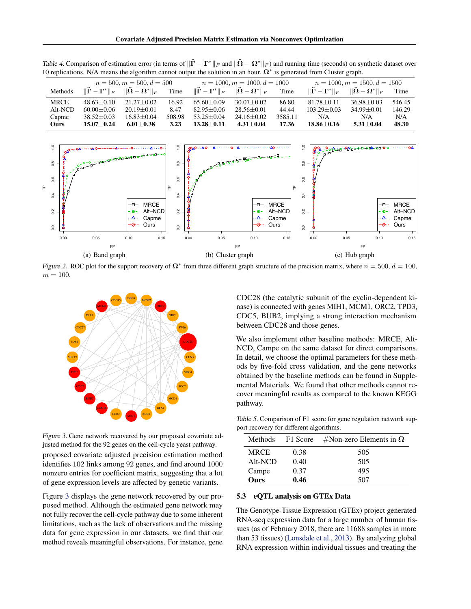*Table 4.* Comparison of estimation error (in terms of  $\|\hat{\mathbf{\Gamma}} - \mathbf{\Gamma}^*\|_F$  and  $\|\hat{\mathbf{\Omega}} - \mathbf{\Omega}^*\|_F$ ) and running time (seconds) on synthetic dataset over 10 replications. N/A means the algorithm cannot output the solution in an hour.  $\Omega^*$  is generated from Cluster graph.

|             | $n = 500, m = 500, d = 500$ |                                                                                             |        | $n = 1000, m = 1000, d = 1000$ |                           |         | $n = 1000, m = 1500, d = 1500$ |                                     |        |
|-------------|-----------------------------|---------------------------------------------------------------------------------------------|--------|--------------------------------|---------------------------|---------|--------------------------------|-------------------------------------|--------|
| Methods     |                             | $\ \mathbf{\Gamma} - \mathbf{\Gamma}^*\ _F \quad \ \mathbf{\Omega} - \mathbf{\Omega}^*\ _F$ | Time   | $\ \Gamma - \Gamma^*\ _F$      | $\ \Omega - \Omega^*\ _F$ | Time    | $\ \Gamma - \Gamma^*\ _F$      | $\ \widehat{\Omega} - \Omega^*\ _F$ | Time   |
| <b>MRCE</b> | $48.63 + 0.10$              | $21.27 + 0.02$                                                                              | 16.92  | $65.60 + 0.09$                 | $30.07 + 0.02$            | 86.80   | $81.78 + 0.11$                 | $36.98 + 0.03$                      | 546.45 |
| Alt-NCD     | $60.00 + 0.06$              | $20.19 + 0.01$                                                                              | 8.47   | $82.95 + 0.06$                 | $28.56 + 0.01$            | 44.44   | $103.29 \pm 0.03$              | $34.99 + 0.01$                      | 146.29 |
| Capme       | $38.52 \pm 0.03$            | $16.83 + 0.04$                                                                              | 508.98 | $53.25 + 0.04$                 | $24.16 + 0.02$            | 3585.11 | N/A                            | N/A                                 | N/A    |
| Ours        | $15.07 + 0.24$              | $6.01 + 0.38$                                                                               | 3.23   | $13.28 + 0.11$                 | $4.31 + 0.04$             | 17.36   | $18.86 + 0.16$                 | $5.31 + 0.04$                       | 48.30  |



*Figure 2.* ROC plot for the support recovery of  $\Omega^*$  from three different graph structure of the precision matrix, where  $n = 500$ ,  $d = 100$ ,  $m = 100.$ 



*Figure 3.* Gene network recovered by our proposed covariate adjusted method for the 92 genes on the cell-cycle yeast pathway.

proposed covariate adjusted precision estimation method identifies 102 links among 92 genes, and find around 1000 nonzero entries for coefficient matrix, suggesting that a lot of gene expression levels are affected by genetic variants.

Figure 3 displays the gene network recovered by our proposed method. Although the estimated gene network may not fully recover the cell-cycle pathway due to some inherent limitations, such as the lack of observations and the missing data for gene expression in our datasets, we find that our method reveals meaningful observations. For instance, gene

CDC28 (the catalytic subunit of the cyclin-dependent kinase) is connected with genes MIH1, MCM1, ORC2, TPD3, CDC5, BUB2, implying a strong interaction mechanism between CDC28 and those genes.

We also implement other baseline methods: MRCE, Alt-NCD, Campe on the same dataset for direct comparisons. In detail, we choose the optimal parameters for these methods by five-fold cross validation, and the gene networks obtained by the baseline methods can be found in Supplemental Materials. We found that other methods cannot recover meaningful results as compared to the known KEGG pathway.

*Table 5.* Comparison of F1 score for gene regulation network support recovery for different algorithms.

| Methods     | F1 Score | #Non-zero Elements in $\Omega$ |
|-------------|----------|--------------------------------|
| <b>MRCE</b> | 0.38     | 505                            |
| Alt-NCD     | 0.40     | 505                            |
| Campe       | 0.37     | 495                            |
| <b>Ours</b> | 0.46     | 507                            |

#### 5.3 eQTL analysis on GTEx Data

The Genotype-Tissue Expression (GTEx) project generated RNA-seq expression data for a large number of human tissues (as of February 2018, there are 11688 samples in more than 53 tissues) (Lonsdale et al., 2013). By analyzing global RNA expression within individual tissues and treating the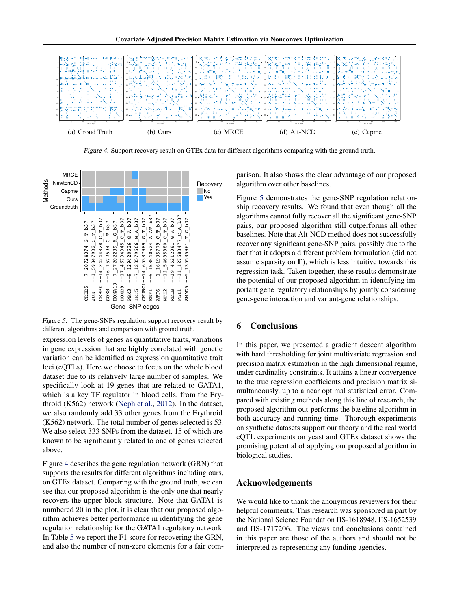

*Figure 4.* Support recovery result on GTEx data for different algorithms comparing with the ground truth.



*Figure 5.* The gene-SNPs regulation support recovery result by different algorithms and comparison with ground truth.

expression levels of genes as quantitative traits, variations in gene expression that are highly correlated with genetic variation can be identified as expression quantitative trait loci (eQTLs). Here we choose to focus on the whole blood dataset due to its relatively large number of samples. We specifically look at 19 genes that are related to GATA1, which is a key TF regulator in blood cells, from the Erythroid (K562) network (Neph et al., 2012). In the dataset, we also randomly add 33 other genes from the Erythroid (K562) network. The total number of genes selected is 53. We also select 333 SNPs from the dataset, 15 of which are known to be significantly related to one of genes selected above.

Figure 4 describes the gene regulation network (GRN) that supports the results for different algorithms including ours, on GTEx dataset. Comparing with the ground truth, we can see that our proposed algorithm is the only one that nearly recovers the upper block structure. Note that GATA1 is numbered 20 in the plot, it is clear that our proposed algorithm achieves better performance in identifying the gene regulation relationship for the GATA1 regulatory network. In Table 5 we report the F1 score for recovering the GRN, and also the number of non-zero elements for a fair comparison. It also shows the clear advantage of our proposed algorithm over other baselines.

Figure 5 demonstrates the gene-SNP regulation relationship recovery results. We found that even though all the algorithms cannot fully recover all the significant gene-SNP pairs, our proposed algorithm still outperforms all other baselines. Note that Alt-NCD method does not successfully recover any significant gene-SNP pairs, possibly due to the fact that it adopts a different problem formulation (did not assume sparsity on  $\Gamma$ ), which is less intuitive towards this regression task. Taken together, these results demonstrate the potential of our proposed algorithm in identifying important gene regulatory relationships by jointly considering gene-gene interaction and variant-gene relationships.

## 6 Conclusions

In this paper, we presented a gradient descent algorithm with hard thresholding for joint multivariate regression and precision matrix estimation in the high dimensional regime, under cardinality constraints. It attains a linear convergence to the true regression coefficients and precision matrix simultaneously, up to a near optimal statistical error. Compared with existing methods along this line of research, the proposed algorithm out-performs the baseline algorithm in both accuracy and running time. Thorough experiments on synthetic datasets support our theory and the real world eQTL experiments on yeast and GTEx dataset shows the promising potential of applying our proposed algorithm in biological studies.

# Acknowledgements

We would like to thank the anonymous reviewers for their helpful comments. This research was sponsored in part by the National Science Foundation IIS-1618948, IIS-1652539 and IIS-1717206. The views and conclusions contained in this paper are those of the authors and should not be interpreted as representing any funding agencies.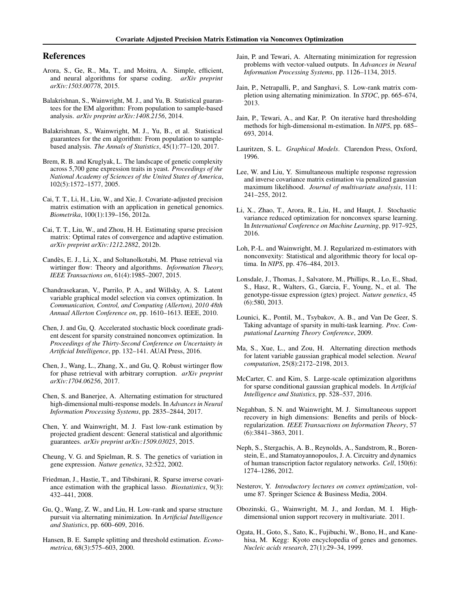## References

- Arora, S., Ge, R., Ma, T., and Moitra, A. Simple, efficient, and neural algorithms for sparse coding. *arXiv preprint arXiv:1503.00778*, 2015.
- Balakrishnan, S., Wainwright, M. J., and Yu, B. Statistical guarantees for the EM algorithm: From population to sample-based analysis. *arXiv preprint arXiv:1408.2156*, 2014.
- Balakrishnan, S., Wainwright, M. J., Yu, B., et al. Statistical guarantees for the em algorithm: From population to samplebased analysis. *The Annals of Statistics*, 45(1):77–120, 2017.
- Brem, R. B. and Kruglyak, L. The landscape of genetic complexity across 5,700 gene expression traits in yeast. *Proceedings of the National Academy of Sciences of the United States of America*, 102(5):1572–1577, 2005.
- Cai, T. T., Li, H., Liu, W., and Xie, J. Covariate-adjusted precision matrix estimation with an application in genetical genomics. *Biometrika*, 100(1):139–156, 2012a.
- Cai, T. T., Liu, W., and Zhou, H. H. Estimating sparse precision matrix: Optimal rates of convergence and adaptive estimation. *arXiv preprint arXiv:1212.2882*, 2012b.
- Candes, E. J., Li, X., and Soltanolkotabi, M. Phase retrieval via ` wirtinger flow: Theory and algorithms. *Information Theory, IEEE Transactions on*, 61(4):1985–2007, 2015.
- Chandrasekaran, V., Parrilo, P. A., and Willsky, A. S. Latent variable graphical model selection via convex optimization. In *Communication, Control, and Computing (Allerton), 2010 48th Annual Allerton Conference on*, pp. 1610–1613. IEEE, 2010.
- Chen, J. and Gu, Q. Accelerated stochastic block coordinate gradient descent for sparsity constrained nonconvex optimization. In *Proceedings of the Thirty-Second Conference on Uncertainty in Artificial Intelligence*, pp. 132–141. AUAI Press, 2016.
- Chen, J., Wang, L., Zhang, X., and Gu, Q. Robust wirtinger flow for phase retrieval with arbitrary corruption. *arXiv preprint arXiv:1704.06256*, 2017.
- Chen, S. and Banerjee, A. Alternating estimation for structured high-dimensional multi-response models. In *Advances in Neural Information Processing Systems*, pp. 2835–2844, 2017.
- Chen, Y. and Wainwright, M. J. Fast low-rank estimation by projected gradient descent: General statistical and algorithmic guarantees. *arXiv preprint arXiv:1509.03025*, 2015.
- Cheung, V. G. and Spielman, R. S. The genetics of variation in gene expression. *Nature genetics*, 32:522, 2002.
- Friedman, J., Hastie, T., and Tibshirani, R. Sparse inverse covariance estimation with the graphical lasso. *Biostatistics*, 9(3): 432–441, 2008.
- Gu, Q., Wang, Z. W., and Liu, H. Low-rank and sparse structure pursuit via alternating minimization. In *Artificial Intelligence and Statistics*, pp. 600–609, 2016.
- Hansen, B. E. Sample splitting and threshold estimation. *Econometrica*, 68(3):575–603, 2000.
- Jain, P. and Tewari, A. Alternating minimization for regression problems with vector-valued outputs. In *Advances in Neural Information Processing Systems*, pp. 1126–1134, 2015.
- Jain, P., Netrapalli, P., and Sanghavi, S. Low-rank matrix completion using alternating minimization. In *STOC*, pp. 665–674, 2013.
- Jain, P., Tewari, A., and Kar, P. On iterative hard thresholding methods for high-dimensional m-estimation. In *NIPS*, pp. 685– 693, 2014.
- Lauritzen, S. L. *Graphical Models*. Clarendon Press, Oxford, 1996.
- Lee, W. and Liu, Y. Simultaneous multiple response regression and inverse covariance matrix estimation via penalized gaussian maximum likelihood. *Journal of multivariate analysis*, 111: 241–255, 2012.
- Li, X., Zhao, T., Arora, R., Liu, H., and Haupt, J. Stochastic variance reduced optimization for nonconvex sparse learning. In *International Conference on Machine Learning*, pp. 917–925, 2016.
- Loh, P.-L. and Wainwright, M. J. Regularized m-estimators with nonconvexity: Statistical and algorithmic theory for local optima. In *NIPS*, pp. 476–484, 2013.
- Lonsdale, J., Thomas, J., Salvatore, M., Phillips, R., Lo, E., Shad, S., Hasz, R., Walters, G., Garcia, F., Young, N., et al. The genotype-tissue expression (gtex) project. *Nature genetics*, 45 (6):580, 2013.
- Lounici, K., Pontil, M., Tsybakov, A. B., and Van De Geer, S. Taking advantage of sparsity in multi-task learning. *Proc. Computational Learning Theory Conference*, 2009.
- Ma, S., Xue, L., and Zou, H. Alternating direction methods for latent variable gaussian graphical model selection. *Neural computation*, 25(8):2172–2198, 2013.
- McCarter, C. and Kim, S. Large-scale optimization algorithms for sparse conditional gaussian graphical models. In *Artificial Intelligence and Statistics*, pp. 528–537, 2016.
- Negahban, S. N. and Wainwright, M. J. Simultaneous support recovery in high dimensions: Benefits and perils of blockregularization. *IEEE Transactions on Information Theory*, 57 (6):3841–3863, 2011.
- Neph, S., Stergachis, A. B., Reynolds, A., Sandstrom, R., Borenstein, E., and Stamatoyannopoulos, J. A. Circuitry and dynamics of human transcription factor regulatory networks. *Cell*, 150(6): 1274–1286, 2012.
- Nesterov, Y. *Introductory lectures on convex optimization*, volume 87. Springer Science & Business Media, 2004.
- Obozinski, G., Wainwright, M. J., and Jordan, M. I. Highdimensional union support recovery in multivariate. 2011.
- Ogata, H., Goto, S., Sato, K., Fujibuchi, W., Bono, H., and Kanehisa, M. Kegg: Kyoto encyclopedia of genes and genomes. *Nucleic acids research*, 27(1):29–34, 1999.